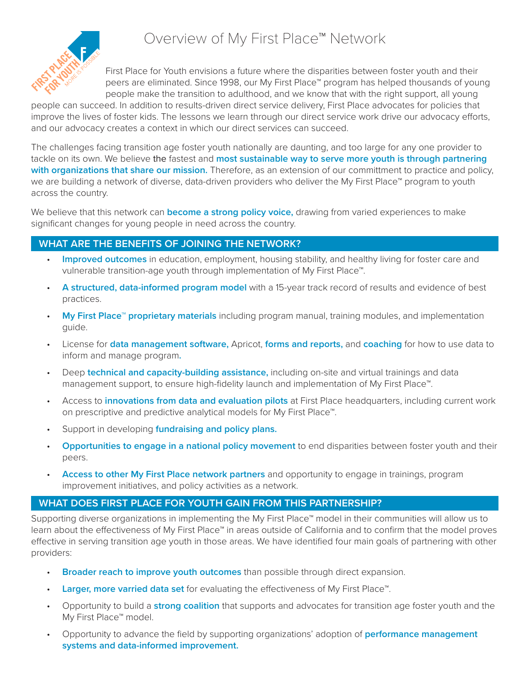

First Place for Youth envisions a future where the disparities between foster youth and their peers are eliminated. Since 1998, our My First Place™ program has helped thousands of young people make the transition to adulthood, and we know that with the right support, all young

people can succeed. In addition to results-driven direct service delivery, First Place advocates for policies that improve the lives of foster kids. The lessons we learn through our direct service work drive our advocacy efforts, and our advocacy creates a context in which our direct services can succeed.

The challenges facing transition age foster youth nationally are daunting, and too large for any one provider to tackle on its own. We believe the fastest and **most sustainable way to serve more youth is through partnering with organizations that share our mission.** Therefore, as an extension of our committment to practice and policy, we are building a network of diverse, data-driven providers who deliver the My First Place™ program to youth across the country.

We believe that this network can **become a strong policy voice,** drawing from varied experiences to make significant changes for young people in need across the country.

## **WHAT ARE THE BENEFITS OF JOINING THE NETWORK?**

- **Improved outcomes** in education, employment, housing stability, and healthy living for foster care and vulnerable transition-age youth through implementation of My First Place™.
- **A structured, data-informed program model** with a 15-year track record of results and evidence of best practices.
- **My First Place™ proprietary materials** including program manual, training modules, and implementation guide.
- License for **data management software,** Apricot, **forms and reports,** and **coaching** for how to use data to inform and manage program**.**
- Deep **technical and capacity-building assistance,** including on-site and virtual trainings and data management support, to ensure high-fidelity launch and implementation of My First Place™.
- Access to **innovations from data and evaluation pilots** at First Place headquarters, including current work on prescriptive and predictive analytical models for My First Place™.
- Support in developing **fundraising and policy plans.**
- **Opportunities to engage in a national policy movement** to end disparities between foster youth and their peers.
- **Access to other My First Place network partners** and opportunity to engage in trainings, program improvement initiatives, and policy activities as a network.

## **WHAT DOES FIRST PLACE FOR YOUTH GAIN FROM THIS PARTNERSHIP?**

Supporting diverse organizations in implementing the My First Place™ model in their communities will allow us to learn about the effectiveness of My First Place™ in areas outside of California and to confirm that the model proves effective in serving transition age youth in those areas. We have identified four main goals of partnering with other providers:

- **Broader reach to improve youth outcomes** than possible through direct expansion.
- **Larger, more varried data set** for evaluating the effectiveness of My First Place™.
- Opportunity to build a **strong coalition** that supports and advocates for transition age foster youth and the My First Place™ model.
- Opportunity to advance the field by supporting organizations' adoption of **performance management systems and data-informed improvement.**